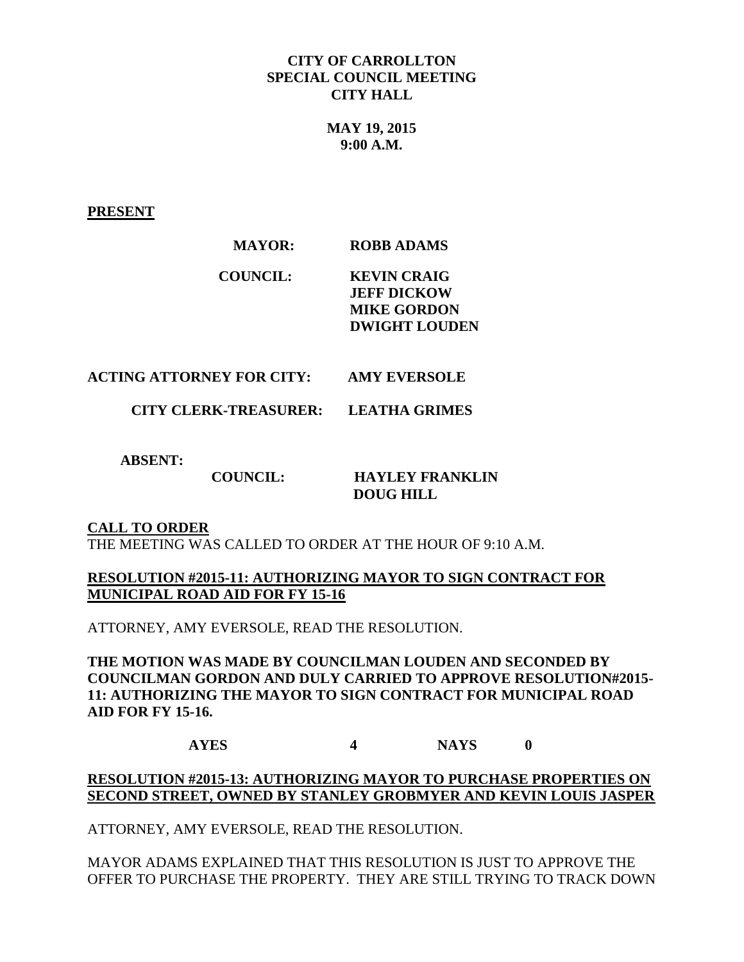#### **CITY OF CARROLLTON SPECIAL COUNCIL MEETING CITY HALL**

**MAY 19, 2015 9:00 A.M.**

**PRESENT**

# **MAYOR: ROBB ADAMS**

**COUNCIL: KEVIN CRAIG JEFF DICKOW MIKE GORDON DWIGHT LOUDEN**

# **ACTING ATTORNEY FOR CITY: AMY EVERSOLE**

 **CITY CLERK-TREASURER: LEATHA GRIMES**

 **ABSENT:** 

# **COUNCIL: HAYLEY FRANKLIN**

 **DOUG HILL**

## **CALL TO ORDER**

THE MEETING WAS CALLED TO ORDER AT THE HOUR OF 9:10 A.M.

#### **RESOLUTION #2015-11: AUTHORIZING MAYOR TO SIGN CONTRACT FOR MUNICIPAL ROAD AID FOR FY 15-16**

ATTORNEY, AMY EVERSOLE, READ THE RESOLUTION.

**THE MOTION WAS MADE BY COUNCILMAN LOUDEN AND SECONDED BY COUNCILMAN GORDON AND DULY CARRIED TO APPROVE RESOLUTION#2015- 11: AUTHORIZING THE MAYOR TO SIGN CONTRACT FOR MUNICIPAL ROAD AID FOR FY 15-16.** 

**AYES 4 NAYS 0**

#### **RESOLUTION #2015-13: AUTHORIZING MAYOR TO PURCHASE PROPERTIES ON SECOND STREET, OWNED BY STANLEY GROBMYER AND KEVIN LOUIS JASPER**

ATTORNEY, AMY EVERSOLE, READ THE RESOLUTION.

MAYOR ADAMS EXPLAINED THAT THIS RESOLUTION IS JUST TO APPROVE THE OFFER TO PURCHASE THE PROPERTY. THEY ARE STILL TRYING TO TRACK DOWN